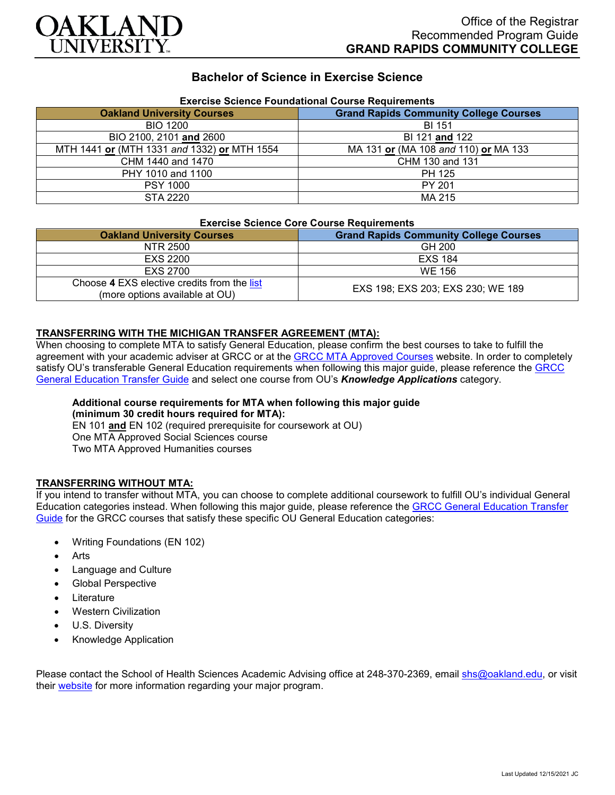

## **Bachelor of Science in Exercise Science**

| Exercise Science Foundational Course Requirements |                                               |
|---------------------------------------------------|-----------------------------------------------|
| <b>Oakland University Courses</b>                 | <b>Grand Rapids Community College Courses</b> |
| <b>BIO 1200</b>                                   | <b>BI 151</b>                                 |
| BIO 2100, 2101 and 2600                           | BI 121 and 122                                |
| MTH 1441 or (MTH 1331 and 1332) or MTH 1554       | MA 131 or (MA 108 and 110) or MA 133          |
| CHM 1440 and 1470                                 | CHM 130 and 131                               |
| PHY 1010 and 1100                                 | PH 125                                        |
| <b>PSY 1000</b>                                   | PY 201                                        |
| STA 2220                                          | MA 215                                        |

# **Exercise Science Foundational Course Requirements**

#### **Exercise Science Core Course Requirements**

| <b>Oakland University Courses</b>                                             | <b>Grand Rapids Community College Courses</b> |
|-------------------------------------------------------------------------------|-----------------------------------------------|
| NTR 2500                                                                      | GH 200                                        |
| EXS 2200                                                                      | <b>EXS 184</b>                                |
| EXS 2700                                                                      | WE 156                                        |
| Choose 4 EXS elective credits from the list<br>(more options available at OU) | EXS 198; EXS 203; EXS 230; WE 189             |

## **TRANSFERRING WITH THE MICHIGAN TRANSFER AGREEMENT (MTA):**

When choosing to complete MTA to satisfy General Education, please confirm the best courses to take to fulfill the agreement with your academic adviser at GRCC or at the **GRCC MTA Approved Courses** website. In order to completely satisfy OU's transferable General Education requirements when following this major guide, please reference the [GRCC](https://www.oakland.edu/Assets/Oakland/program-guides/grand-rapids-community-college/university-general-education-requirements/Grand%20Rapids%20Gen%20Ed.pdf)  [General Education Transfer Guide](https://www.oakland.edu/Assets/Oakland/program-guides/grand-rapids-community-college/university-general-education-requirements/Grand%20Rapids%20Gen%20Ed.pdf) and select one course from OU's *Knowledge Applications* category.

#### **Additional course requirements for MTA when following this major guide (minimum 30 credit hours required for MTA):** EN 101 **and** EN 102 (required prerequisite for coursework at OU) One MTA Approved Social Sciences course

Two MTA Approved Humanities courses

# **TRANSFERRING WITHOUT MTA:**

If you intend to transfer without MTA, you can choose to complete additional coursework to fulfill OU's individual General Education categories instead. When following this major guide, please reference the [GRCC General Education Transfer](https://www.oakland.edu/Assets/Oakland/program-guides/grand-rapids-community-college/university-general-education-requirements/Grand%20Rapids%20Gen%20Ed.pdf)  [Guide](https://www.oakland.edu/Assets/Oakland/program-guides/grand-rapids-community-college/university-general-education-requirements/Grand%20Rapids%20Gen%20Ed.pdf) for the GRCC courses that satisfy these specific OU General Education categories:

- Writing Foundations (EN 102)
- **Arts**
- Language and Culture
- Global Perspective
- **Literature**
- Western Civilization
- U.S. Diversity
- Knowledge Application

Please contact the School of Health Sciences Academic Advising office at 248-370-2369, email [shs@oakland.edu,](mailto:shs@oakland.edu) or visit their [website](http://www.oakland.edu/shs/advising) for more information regarding your major program.